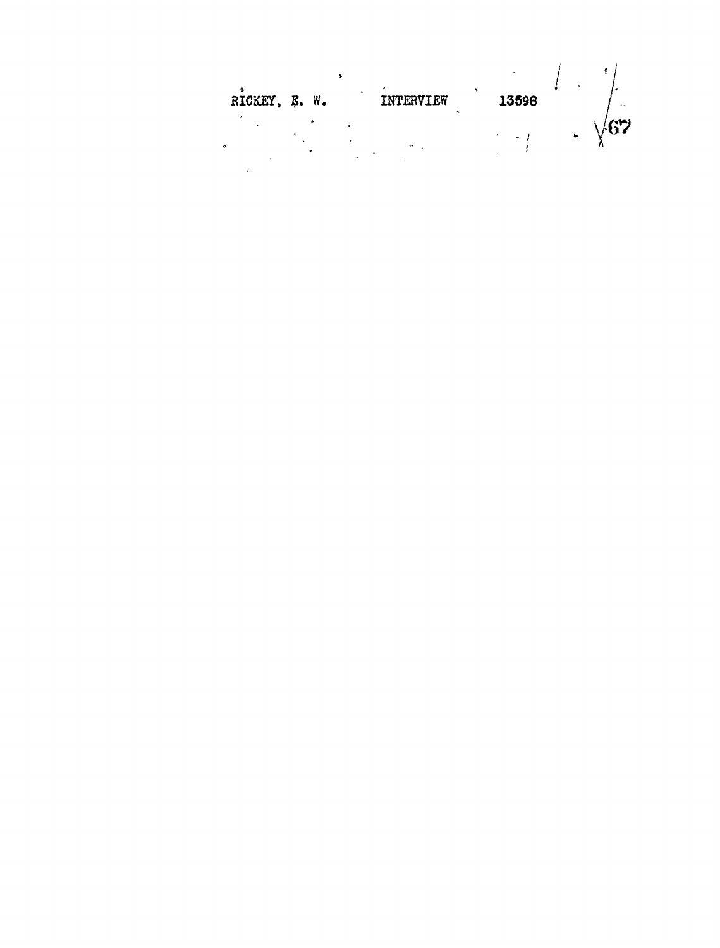| ô.<br>RICKEY, E. W. | INTERVIEW        | 13598 |  |
|---------------------|------------------|-------|--|
| ٠                   | $\bullet\bullet$ |       |  |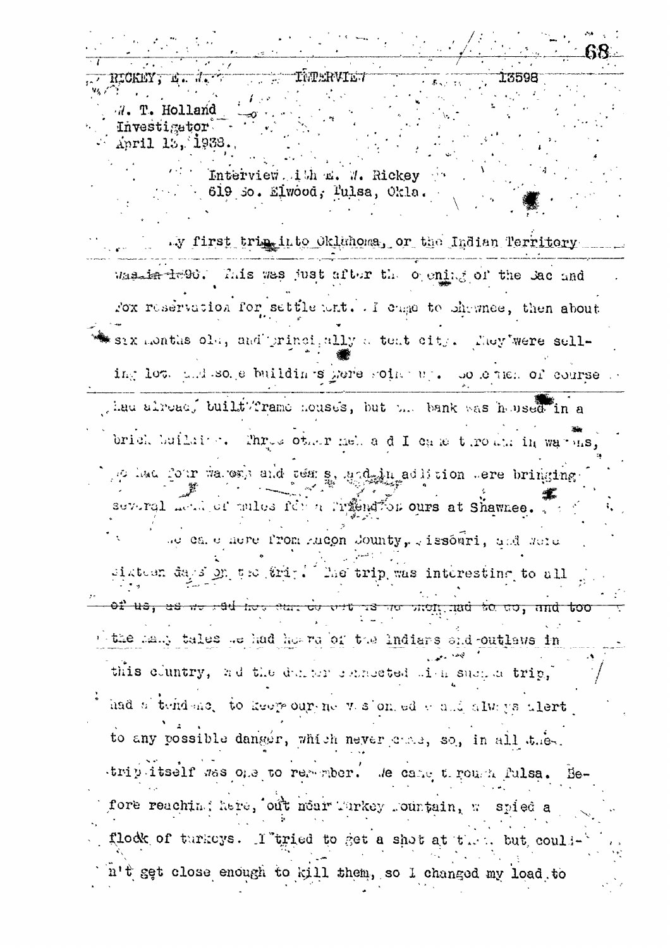TWERVIET 13598  $\mathcal{A}$ . T. Holland Investigator April 15, 1938 Interview. ith m. W. Rickey 619 so. Elwood, Tulsa, Okla.

by first trip into Oklahoma, or the Indian Territory What test. This was just after the opening of the lac and Fox reservation for settle wat. I came to shownee, then about six months old, and principally a tent city. They'were selling low and some buildings were going we. Some man to permone thau alread, built Trame houses, but the bank was housed in a brick building. Thrus other meh a d I cane thrown in warms, to had four water, and sear stranging addition here bringing. several member mules for a riggination ours at Shawnee. to calle here from Ancon County, tissouri, and were sixteen days on the arity. The trip was interesting to all of us, as seed not can be one is no ment not on, and too  $\cdots$  the many tales we had how rajor two indiars sad-outlaws in this country, and the dumber connected with such a trip, had a tendency to keep our near a sion ed e and always alert, to any possible danger, which never case, so, in all the. trip itself was one to remember. He came through fulsa. Before reaching here, out near Turkey Fountain, w spied a flock of turkeys. I tried to get a shot at the stutue coulln't get close enough to kill them, so I changed my load to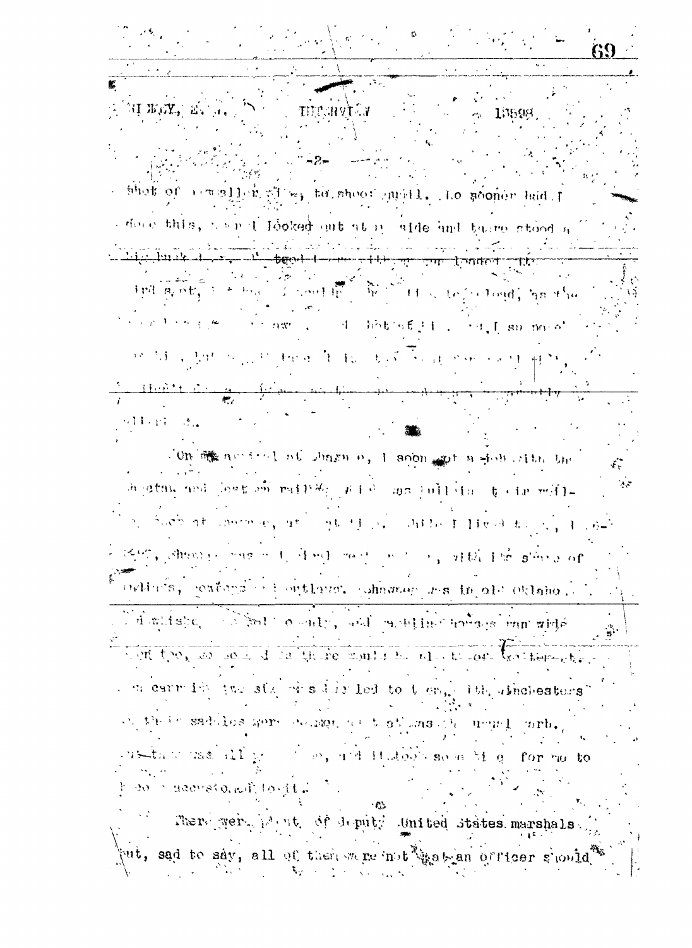H ЖДУ, FPARV shot of comaller piles, to shoot quett. To sooner had I done this, were lefted out at near aide and take stood a  $-1$   $+6$ ╶┯╍╉╍╇╤ ird s.ot.  $\mathcal{W}^{(n)}$  $\sim$  1  $\rm H_{\rm V}$ ં દરમિયાનું છે. ົງສຳໃນ  $-4$   $-106$   $+6$   $+1$ n silaw tit I an wro post them it is the form alland and Conjugation and charm of I soon with the line  $\lambda_{\rm eff}$ deptan and leat mi railed; file maceulicing to in reli-つ うれ **一个快速手机, 一项目标 下门快速无人气。** . '≵\* in the state of the second of the state of the state of the state of ordinis, pentops of outlave, commanage as in old oblahous ) dominate,  $\mathbb{R}^3$  and the wall  $\mathbb{R}^3$  , and the decomposition wide That the group of the finite manifold of the set  $\mathfrak{f}_{\mathcal{S}}$  , and the set a macarrain the staglers dirtied to them, ith almchesters outher saddes were comedy to traffinasite umal mrb. us the count of general means it does some it g -for me ţО so reservation to it. 不合法  $\sim 10$ There were paint, of deputy united states marshals. put, sad to say, all of then were not that an officer should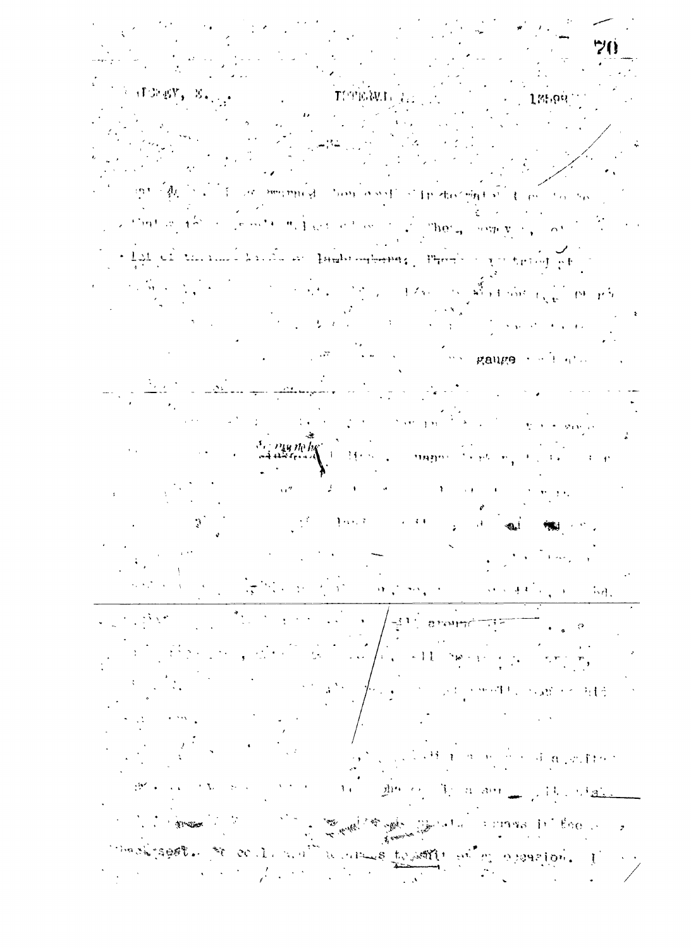TITERMI  $\label{eq:3} \begin{array}{ll} \mathbb{E}[\mathbb{E}[\mathcal{A}]\times\mathbb{R}^m\mathbb{E}[\mathbf{v}]\mathbf{u}]\mathbf{u}[\mathbf{u}]\mathbf{u}=\mathbb{E}[\mathbf{v}]\mathbf{u}[\mathbf{v}]\mathbf{u}[\mathbf{v}]\mathbf{u}[\mathbf{u}]\mathbf{u}[\mathbf{u}]\mathbf{u}[\mathbf{u}]\mathbf{u}[\mathbf{u}]\mathbf{u}[\mathbf{u}]\mathbf{u}[\mathbf{u}]\mathbf{u}[\mathbf{u}]\mathbf{u}[\mathbf{u}]\mathbf{u}[\mathbf{$ In doctiness ਾਲਾ ਕਰਵਿੰਦ  $\label{eq:2} \frac{1}{2}\mathbf{e}^{-2\mathbf{v}\mathbf{v}\mathbf{v}}\mathbf{v}^{\mathbf{v}}\mathbf{A}=\mathbf{H}_{\mathbf{v}}\left(\frac{1}{4}\left|\chi_{\mathbf{v}}\left(\mathbf{y}\right)-\mathbf{e}\right|\right)^{2}+\cos\left(-\mathbf{v}\right)\mathbf{v}$ "her.  $\alpha$  variation  $\alpha^{\rm t}$ - Life of the run I have to as Indian informed. Profile a gas that of he  $\label{eq:2} \frac{1}{2} \sum_{i=1}^n \frac{1}{2} \sum_{j=1}^n \frac{1}{2} \sum_{j=1}^n \frac{1}{2} \sum_{j=1}^n \frac{1}{2} \sum_{j=1}^n \frac{1}{2} \sum_{j=1}^n \frac{1}{2} \sum_{j=1}^n \frac{1}{2} \sum_{j=1}^n \frac{1}{2} \sum_{j=1}^n \frac{1}{2} \sum_{j=1}^n \frac{1}{2} \sum_{j=1}^n \frac{1}{2} \sum_{j=1}^n \frac{1}{2} \sum_{j=1}^n \frac{1}{$ i a¶<br>i alial talian d  $\mathcal{O}(\mathcal{O}_\mathcal{O})$  $\int d^3x$  $\mathbb{R}^2$  ,  $\mathbb{R}^2$  ,  $\mathbb{R}^2$  $\mu$   $\tilde{\gamma}$  $\frac{1}{2}$  ,  $\frac{1}{2}$  $\mathcal{F}_{\mathcal{F}}$  $\omega$   $\omega$ gauge of  $\frac{3}{2}$  of the map  $\frac{1}{2}$  of  $\frac{1}{2}$  of  $\frac{1}{2}$ . י תקאוד.  $\mathbf{G}(\mathbf{x})$  ,  $\mathbf{G}(\mathbf{x})$  $\pmb{\dagger}^\star$  $\mathcal{I}$  $\mathbf{Y}=\mathbf{X}$  $\mathcal{A}_\mathcal{A}$  $\sim$   $\pm$  $\epsilon=3.4$  .  $\rightarrow$  )  $\frac{1}{2} \left( \frac{1}{2} \left( \frac{1}{2} \right) \right) \left( \frac{1}{2} \left( \frac{1}{2} \right) \right) \left( \frac{1}{2} \right)$  $\sim$  eV  $\alpha$  $\frac{1}{2}$   $\frac{1}{2}$  around  $\frac{1}{2}$  $\frac{1}{2}\sum_{i=1}^{n} \int_{\mathbb{R}^{2n} \setminus \mathbb{R}^{2n}}$  $\sim 1.1$ 避けた 九号 are of the र में ज dia prifter  $\langle \cdot \rangle$  $\mathcal{M} = \mathbb{R}^{n \times n}$  $\mathbb{R}^{n \times n}$ The above the stal The first of the same of the same i comma prifne el  $\overline{\phantom{a}}$ os de lagaziación wall make possible me in operation. I  $\left\langle \frac{1}{2} \right\rangle$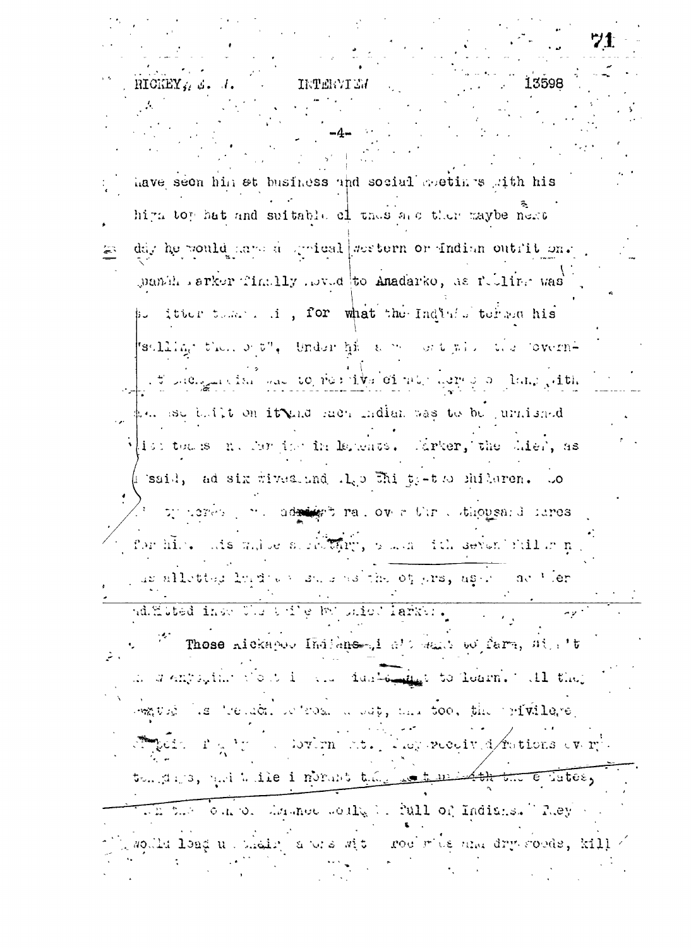13598 RICKEY,  $\mathcal{L}$  .  $\mathcal{L}$ . **TELEBET EM** have seen him at business and social metin's with his high top hat and suitable of thes are ther maybe next day he would have a symical sestern or indian outfit on. panah sarker finally loved to Anadarko, as feeling was position teachers is, for what the Indials terms his salling than out", Under his a model will the covernthe manufacture was to result in the city of the server of the settle the suitely on it and had main was to be undered. lie: tomes no for its in legence. Exter, the Lief, as A said, ad six fives and Ago thi to-the children. Co but there is a comparable over the comparative cores for his. As allegated they are ith seven full man as alletted last on sale as the objets, as a ac tier ad. Hoted inserting this which have a Those nickapos Indians-1 all dall wifers, at to i a engaçim volt i sis dus<del>to da</del>t to learn. Al the mathi ls tread. Intros. I wit, this too, the privilere, point  $\Gamma \sim \mathcal{W} = 1$  for  $\mathbf{m}$  with  $\mathcal{L} = 1$  ,  $\mathcal{L} = 1$  ,  $\mathcal{L} = 1$  ,  $\mathcal{L} = 1$  ,  $\mathcal{L} = 1$ to give, and will a first the extra strates, The the componing meet souls in full of Indians. They a , sould lead up that a was sit - roc rice and dry soeds, kill  $\ell$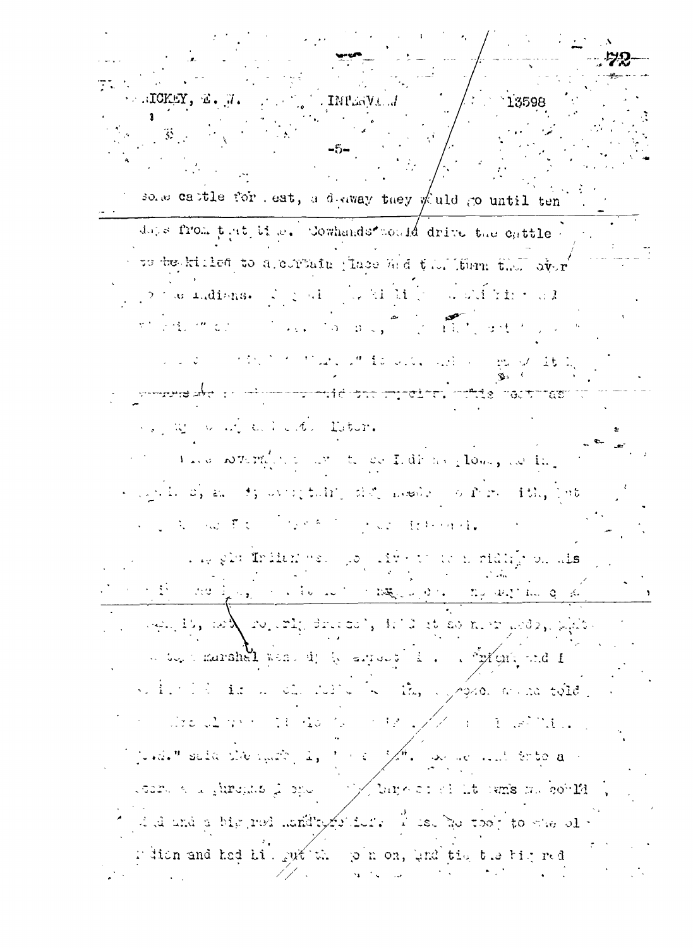$\ldots$  TCKEY,  $\mathbb E$ .  $\mathbb Z$ .  $\mathbb{R}^3$ some cattle for eat, a deaway they while go until ten dops from that it w. Cowhands would drive the chttle. , we deakilled to alcordain place and the lime the sign produdions. I pair a killic a shift and where the contributions of  $\mathcal{L}_\mathbf{y} = \mathcal{L}_\mathbf{y}$  , where  $\mathcal{L}_\mathbf{y} = \mathcal{L}_\mathbf{y}$ the list than it is only only a group it? e protestantes de la construcción en la construcción de la construcción de la construcción de la construcción we up the same of the first lister. There where  $\mathbb{R}^d$  is an integer for  $\mathbb{R}$  driver  $\mathbb{R}^d$  and  $\mathbb{R}^d$  $\epsilon$  , such as an  $\epsilon$  , weighth of the mode of  $\mathbf{r}$  of  $\mathbf{r}$ Continued The Constantinople and Homester The gis frilen as the live to be riding on the  $\mathbb{R}^n \times \mathbb{R}^n$  and  $\mathbb{I}_{\mathbf{z}} \cup_{\mathbf{z}} \mathbb{I}_{\mathbf{z}} \rightarrow \mathbb{R}^n$  for an  $\mathbb{R}^n$  and  $\mathbb{R}^n$  and  $\mathbb{R}^n$  $\log_{10}10$ ,  $\log_{\infty}20$ ,  $\log_{10}21$ , drived ), if ( ) at some  $\log_{10}2$ ,  $\log_{20}$ who, marshel was dependent in rightent and I side la la de la comune la dim, l'Agzol d'una télég  $\mathbb{R}^n$  . The class of the classical contract of  $\mathbb{R}^n$  ,  $\mathbb{R}^n$  ,  $\mathbb{R}^n$  ,  $\mathbb{R}^n$  ,  $\mathbb{R}^n$  ,  $\mathbb{R}^n$ Justin sala the quite is to complete where all prio and stere a sure since a response to the sensor of angeline section of the , dual und ja big mod landtsykoldur. To isu "Ho vool" to vie ol  $\cdot$ rdian and hed it put the pin on, und time the big red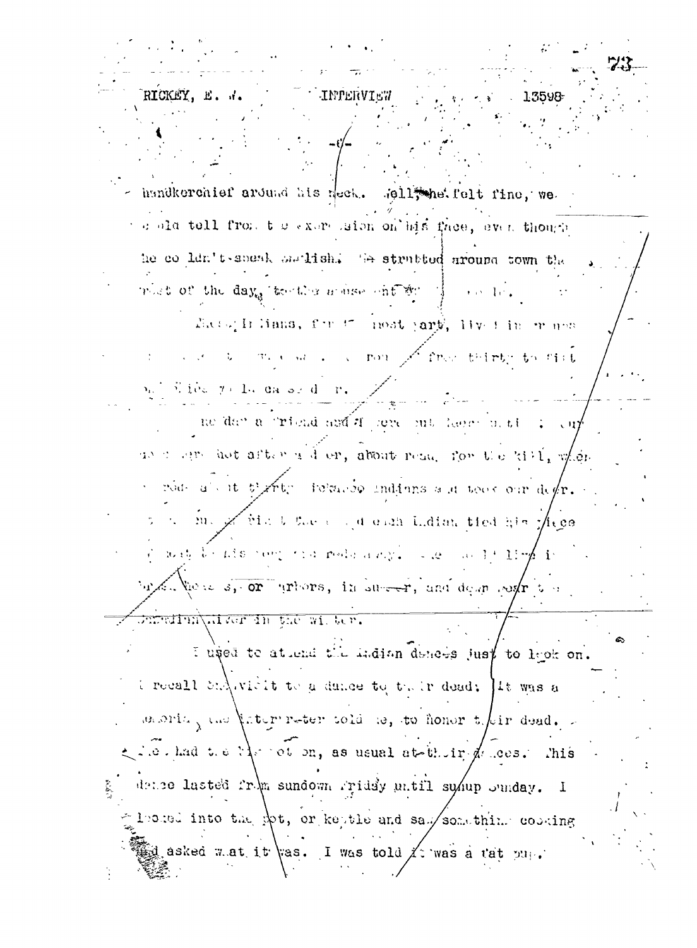RICKEY, E. W. INTERVIEW 13598 handkerchief around his reck. Jell the felt fine, we the old tell from the example ion on big frice, even though he co ldn't sneak satish. Te strutted around town the what of the day, 'to the mass children is not be. Masselli Hans, for the next vart, live in manner the second to the end of the poor of free thirty to fint m Siles 70 16 Ca sed r. the day a "right and it gere into heavy u. at  $1 - \sqrt{M}$ as a service after a der, about read for the 311, when where  $a'$  at  $b'$  subject to save indians and took our defr. where  $\mathbb{R}^d$  . We have the density indicated its  $\mathbb{R}^d$  the with be his part that reals a copy and a second in  $1 + 11 = \frac{1}{2}$  is hose s, or griors, in subser, and down boxr is a <u> Gernaldun (Alver an the willer.</u> I used to attend the main denote just to leph on. i recall subjects to a dance to their dead; It was a morit, the fater reter told te, to honor their dead. Field had the  $\forall k \geq 0$  then, as usual at their  $d$  nees. This dence lasted from sundown riddy until sumup ounday. I in de hosed into the pot, or kepthe and sal/something cooking d asked w.at it was. I was told  $x$  was a tat pup.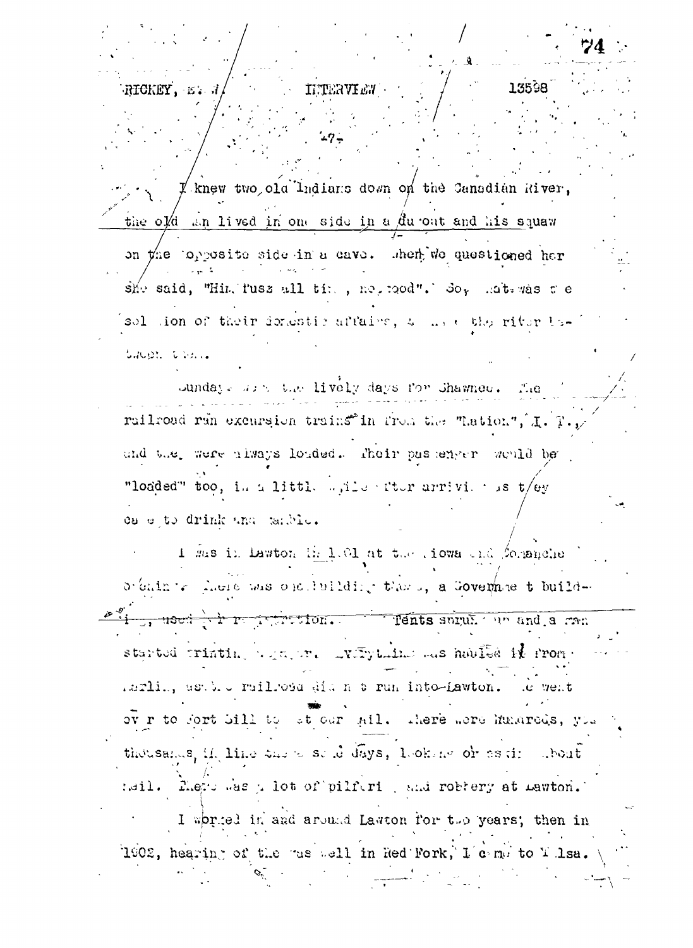13598 **TERVEEN** RICKEY. E. J  $I$  knew two old ladians down on the Canadian River, the old an lived in one side in a durout and his squaw on the lopposite side in a cave. Then we questioned her she said, "Him fuss all time, not nod". So, matewas the sol lion of their domestic affairs, & I., e the riter totauph there. Jundays art the lively days for Shawnee.  $2.16$ railroad run excarsion trains<sup>2</sup> in from the "hation", I. T., and the were always louded. Their passenger would be "loaded" too, in a little while ther arrivis  $t/ey$ ca e to drink and tanble. I mas in Lawton in 1.01 at the liowa and foranche orbhings there was oneligibility there, a Governme t buildi west the represion. Tents sorul un and a ran started Trintin wenter, TVI Lime as healed it from. larlin, ast bio railrosa did not run into-fawton. te went ov r to fort 5111 to at our wil. There were humareds, you thousands, if line there so is days, looking or as direction hail. There was polot of pilfuri , and robbery at Lawton. I wonted in and around Lawton for the years, then in 1902, hearing of the rus well in Red Fork, I came to Y lsa.